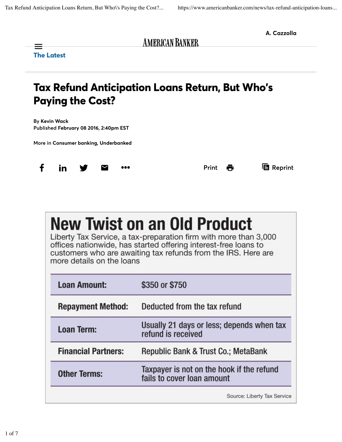

| more details on the loans |  |  |
|---------------------------|--|--|
|---------------------------|--|--|

| <b>Loan Amount:</b>        | \$350 or \$750                                                          |
|----------------------------|-------------------------------------------------------------------------|
| <b>Repayment Method:</b>   | Deducted from the tax refund                                            |
| <b>Loan Term:</b>          | Usually 21 days or less; depends when tax<br>refund is received         |
| <b>Financial Partners:</b> | Republic Bank & Trust Co.; MetaBank                                     |
| <b>Other Terms:</b>        | Taxpayer is not on the hook if the refund<br>fails to cover loan amount |
|                            | Source: Liberty Tax Service                                             |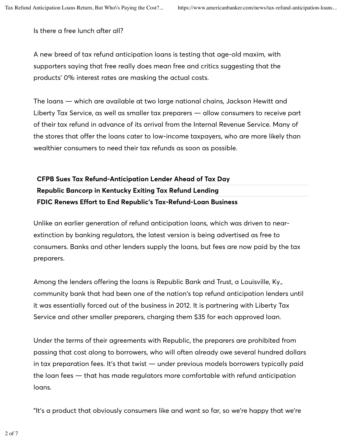Is there a free lunch after all?

A new breed of tax refund anticipation loans is testing that age-old maxim, with supporters saying that free really does mean free and critics suggesting that the products' 0% interest rates are masking the actual costs.

The loans — which are available at two large national chains, Jackson Hewitt and Liberty Tax Service, as well as smaller tax preparers — allow consumers to receive part of their tax refund in advance of its arrival from the Internal Revenue Service. Many of the stores that offer the loans cater to low-income taxpayers, who are more likely than wealthier consumers to need their tax refunds as soon as possible.

## CFPB Sues Tax Refund-Anticipation Lender Ahead of Tax Day Republic Bancorp in Kentucky Exiting Tax Refund Lending FDIC Renews Effort to End Republic's Tax-Refund-Loan Business

Unlike an earlier generation of refund anticipation loans, which was driven to nearextinction by banking regulators, the latest version is being advertised as free to consumers. Banks and other lenders supply the loans, but fees are now paid by the tax preparers.

Among the lenders offering the loans is Republic Bank and Trust, a Louisville, Ky., community bank that had been one of the nation's top refund anticipation lenders until it was essentially forced out of the business in 2012. It is partnering with Liberty Tax Service and other smaller preparers, charging them \$35 for each approved loan.

Under the terms of their agreements with Republic, the preparers are prohibited from passing that cost along to borrowers, who will often already owe several hundred dollars in tax preparation fees. It's that twist — under previous models borrowers typically paid the loan fees — that has made regulators more comfortable with refund anticipation loans.

"It's a product that obviously consumers like and want so far, so we're happy that we're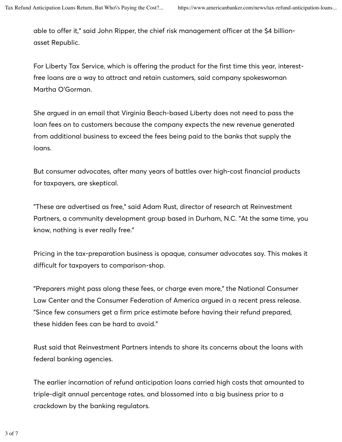able to offer it," said John Ripper, the chief risk management officer at the \$4 billionasset Republic.

For Liberty Tax Service, which is offering the product for the first time this year, interestfree loans are a way to attract and retain customers, said company spokeswoman Martha O'Gorman.

She argued in an email that Virginia Beach-based Liberty does not need to pass the loan fees on to customers because the company expects the new revenue generated from additional business to exceed the fees being paid to the banks that supply the loans.

But consumer advocates, after many years of battles over high-cost financial products for taxpayers, are skeptical.

"These are advertised as free," said Adam Rust, director of research at Reinvestment Partners, a community development group based in Durham, N.C. "At the same time, you know, nothing is ever really free."

Pricing in the tax-preparation business is opaque, consumer advocates say. This makes it difficult for taxpayers to comparison-shop.

"Preparers might pass along these fees, or charge even more," the National Consumer Law Center and the Consumer Federation of America argued in a recent press release. "Since few consumers get a firm price estimate before having their refund prepared, these hidden fees can be hard to avoid."

Rust said that Reinvestment Partners intends to share its concerns about the loans with federal banking agencies.

The earlier incarnation of refund anticipation loans carried high costs that amounted to triple-digit annual percentage rates, and blossomed into a big business prior to a crackdown by the banking regulators.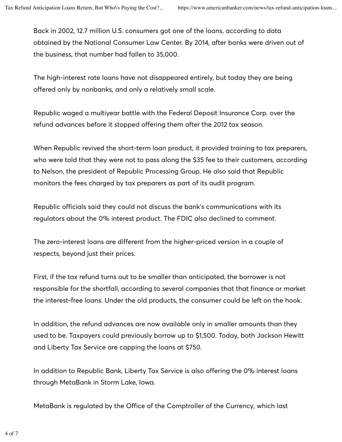Back in 2002, 12.7 million U.S. consumers got one of the loans, according to data obtained by the National Consumer Law Center. By 2014, after banks were driven out of the business, that number had fallen to 35,000.

The high-interest rate loans have not disappeared entirely, but today they are being offered only by nonbanks, and only a relatively small scale.

Republic waged a multiyear battle with the Federal Deposit Insurance Corp. over the refund advances before it stopped offering them after the 2012 tax season.

When Republic revived the short-term loan product, it provided training to tax preparers, who were told that they were not to pass along the \$35 fee to their customers, according to Nelson, the president of Republic Processing Group. He also said that Republic monitors the fees charged by tax preparers as part of its audit program.

Republic officials said they could not discuss the bank's communications with its regulators about the 0% interest product. The FDIC also declined to comment.

The zero-interest loans are different from the higher-priced version in a couple of respects, beyond just their prices.

First, if the tax refund turns out to be smaller than anticipated, the borrower is not responsible for the shortfall, according to several companies that that finance or market the interest-free loans. Under the old products, the consumer could be left on the hook.

In addition, the refund advances are now available only in smaller amounts than they used to be. Taxpayers could previously borrow up to \$1,500. Today, both Jackson Hewitt and Liberty Tax Service are capping the loans at \$750.

In addition to Republic Bank, Liberty Tax Service is also offering the 0% interest loans through MetaBank in Storm Lake, Iowa.

MetaBank is regulated by the Office of the Comptroller of the Currency, which last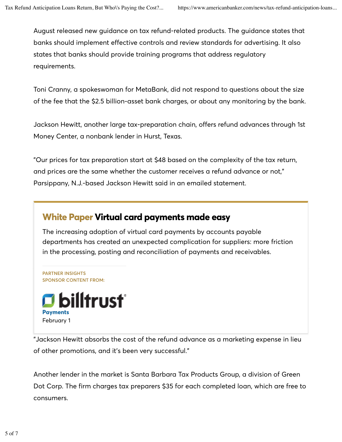August released new guidance on tax refund-related products. The guidance states that banks should implement effective controls and review standards for advertising. It also states that banks should provide training programs that address regulatory requirements.

Toni Cranny, a spokeswoman for MetaBank, did not respond to questions about the size of the fee that the \$2.5 billion-asset bank charges, or about any monitoring by the bank.

Jackson Hewitt, another large tax-preparation chain, offers refund advances through 1st Money Center, a nonbank lender in Hurst, Texas.

"Our prices for tax preparation start at \$48 based on the complexity of the tax return, and prices are the same whether the customer receives a refund advance or not," Parsippany, N.J.-based Jackson Hewitt said in an emailed statement.

## White Paper Virtual card payments made easy

The increasing adoption of virtual card payments by accounts payable departments has created an unexpected complication for suppliers: more friction in the processing, posting and reconciliation of payments and receivables.

PARTNER INSIGHTS SPONSOR CONTENT FROM:



"Jackson Hewitt absorbs the cost of the refund advance as a marketing expense in lieu of other promotions, and it's been very successful."

Another lender in the market is Santa Barbara Tax Products Group, a division of Green Dot Corp. The firm charges tax preparers \$35 for each completed loan, which are free to consumers.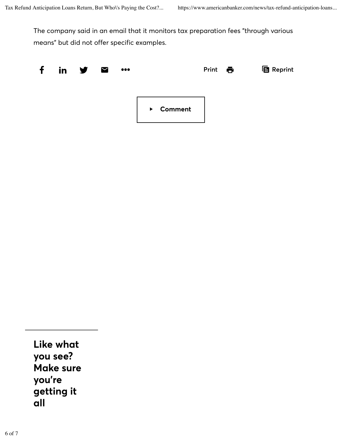The company said in an email that it monitors tax preparation fees "through various means" but did not offer specific examples.



Like what you see? Make sure you're getting it all